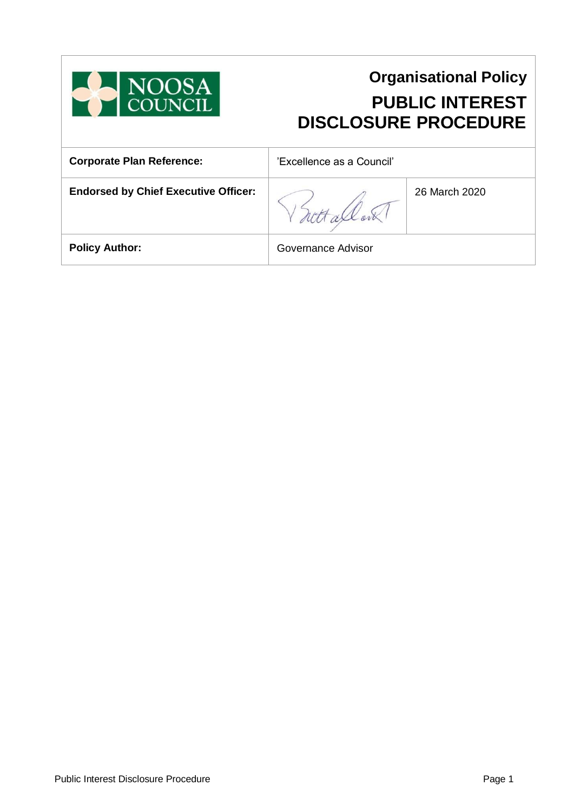

# **Organisational Policy PUBLIC INTEREST DISCLOSURE PROCEDURE**

| <b>Corporate Plan Reference:</b>            | 'Excellence as a Council' |               |
|---------------------------------------------|---------------------------|---------------|
| <b>Endorsed by Chief Executive Officer:</b> |                           | 26 March 2020 |
| <b>Policy Author:</b>                       | Governance Advisor        |               |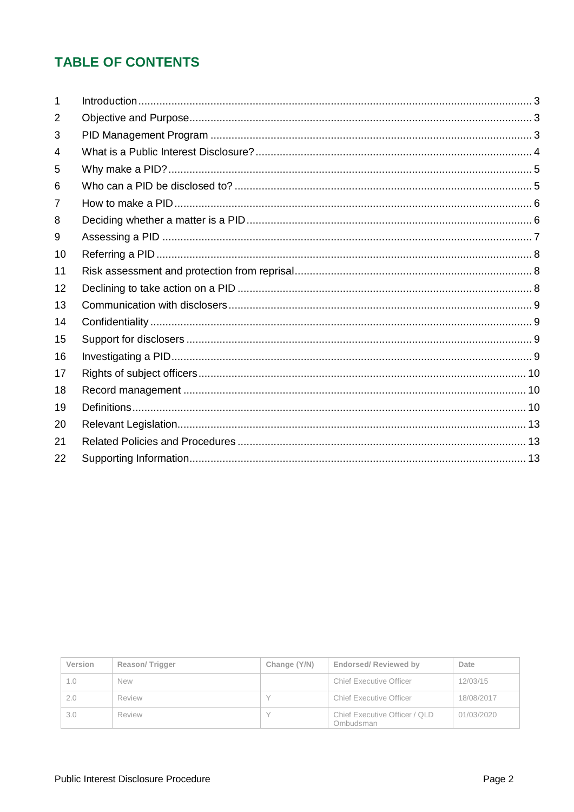# **TABLE OF CONTENTS**

| 2  |  |
|----|--|
| 3  |  |
| 4  |  |
| 5  |  |
| 6  |  |
| 7  |  |
| 8  |  |
| 9  |  |
| 10 |  |
| 11 |  |
| 12 |  |
| 13 |  |
| 14 |  |
| 15 |  |
| 16 |  |
| 17 |  |
| 18 |  |
| 19 |  |
| 20 |  |
| 21 |  |
| 22 |  |

| Version | Reason/Trigger | Change (Y/N) | <b>Endorsed/ Reviewed by</b>               | Date       |
|---------|----------------|--------------|--------------------------------------------|------------|
| 1.0     | <b>New</b>     |              | Chief Executive Officer                    | 12/03/15   |
| 2.0     | Review         |              | Chief Executive Officer                    | 18/08/2017 |
| 3.0     | Review         |              | Chief Executive Officer / QLD<br>Ombudsman | 01/03/2020 |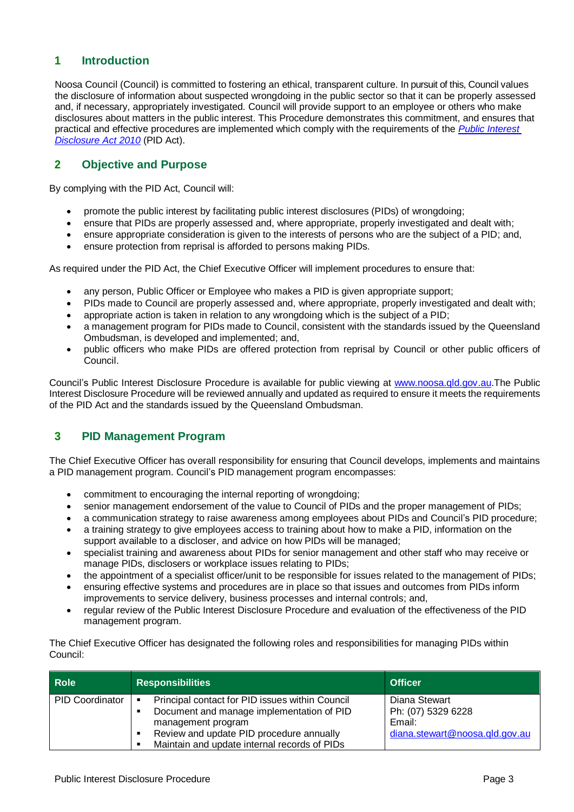# <span id="page-2-0"></span>**1 Introduction**

Noosa Council (Council) is committed to fostering an ethical, transparent culture. In pursuit of this, Council values the disclosure of information about suspected wrongdoing in the public sector so that it can be properly assessed and, if necessary, appropriately investigated. Council will provide support to an employee or others who make disclosures about matters in the public interest. This Procedure demonstrates this commitment, and ensures that practical and effective procedures are implemented which comply with the requirements of the *[Public Interest](https://www.legislation.qld.gov.au/view/html/inforce/current/act-2010-038)  [Disclosure Act 2010](https://www.legislation.qld.gov.au/view/html/inforce/current/act-2010-038)* (PID Act).

# <span id="page-2-1"></span>**2 Objective and Purpose**

By complying with the PID Act, Council will:

- promote the public interest by facilitating public interest disclosures (PIDs) of wrongdoing;
- ensure that PIDs are properly assessed and, where appropriate, properly investigated and dealt with;
- ensure appropriate consideration is given to the interests of persons who are the subject of a PID; and,
- ensure protection from reprisal is afforded to persons making PIDs.

As required under the PID Act, the Chief Executive Officer will implement procedures to ensure that:

- any person, Public Officer or Employee who makes a PID is given appropriate support;
- PIDs made to Council are properly assessed and, where appropriate, properly investigated and dealt with;
- appropriate action is taken in relation to any wrongdoing which is the subject of a PID;
- a management program for PIDs made to Council, consistent with the standards issued by the Queensland Ombudsman, is developed and implemented; and,
- public officers who make PIDs are offered protection from reprisal by Council or other public officers of Council.

Council's Public Interest Disclosure Procedure is available for public viewing at [www.noosa.qld.gov.au.](http://www.noosa.qld.gov.au/)The Public Interest Disclosure Procedure will be reviewed annually and updated as required to ensure it meets the requirements of the PID Act and the standards issued by the Queensland Ombudsman.

# <span id="page-2-2"></span>**3 PID Management Program**

The Chief Executive Officer has overall responsibility for ensuring that Council develops, implements and maintains a PID management program. Council's PID management program encompasses:

- commitment to encouraging the internal reporting of wrongdoing;
- senior management endorsement of the value to Council of PIDs and the proper management of PIDs;
- a communication strategy to raise awareness among employees about PIDs and Council's PID procedure;
- a training strategy to give employees access to training about how to make a PID, information on the support available to a discloser, and advice on how PIDs will be managed;
- specialist training and awareness about PIDs for senior management and other staff who may receive or manage PIDs, disclosers or workplace issues relating to PIDs;
- the appointment of a specialist officer/unit to be responsible for issues related to the management of PIDs;
- ensuring effective systems and procedures are in place so that issues and outcomes from PIDs inform improvements to service delivery, business processes and internal controls; and,
- regular review of the Public Interest Disclosure Procedure and evaluation of the effectiveness of the PID management program.

The Chief Executive Officer has designated the following roles and responsibilities for managing PIDs within Council:

| <b>Role</b>            | <b>Responsibilities</b>                                                                                                 | <b>Officer</b>                                |
|------------------------|-------------------------------------------------------------------------------------------------------------------------|-----------------------------------------------|
| <b>PID Coordinator</b> | Principal contact for PID issues within Council<br>п<br>Document and manage implementation of PID<br>management program | Diana Stewart<br>Ph: (07) 5329 6228<br>Email: |
|                        | Review and update PID procedure annually<br>Maintain and update internal records of PIDs<br>п                           | diana.stewart@noosa.gld.gov.au                |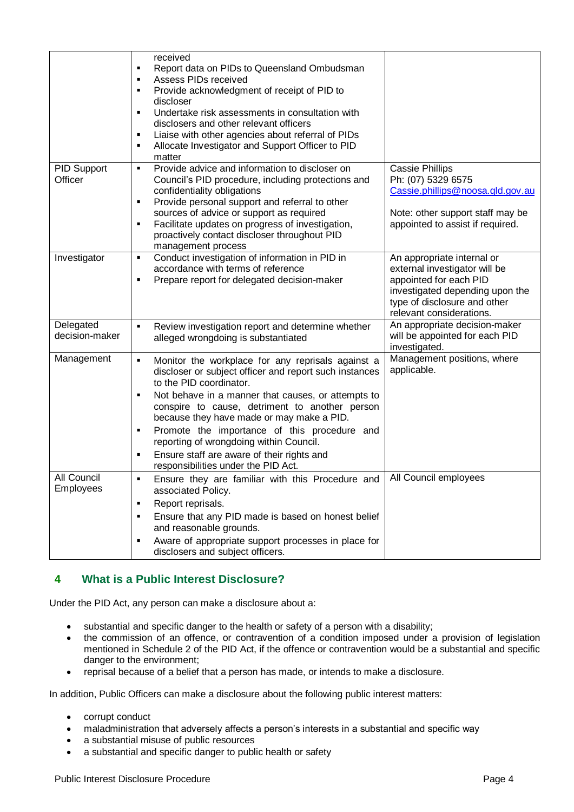|                             | received                                                                                              |                                                                 |
|-----------------------------|-------------------------------------------------------------------------------------------------------|-----------------------------------------------------------------|
|                             | Report data on PIDs to Queensland Ombudsman<br>٠                                                      |                                                                 |
|                             | Assess PIDs received<br>п                                                                             |                                                                 |
|                             | Provide acknowledgment of receipt of PID to<br>в                                                      |                                                                 |
|                             | discloser                                                                                             |                                                                 |
|                             | Undertake risk assessments in consultation with<br>п                                                  |                                                                 |
|                             | disclosers and other relevant officers<br>Liaise with other agencies about referral of PIDs<br>п      |                                                                 |
|                             | Allocate Investigator and Support Officer to PID<br>$\blacksquare$                                    |                                                                 |
|                             | matter                                                                                                |                                                                 |
| <b>PID Support</b>          | Provide advice and information to discloser on<br>$\blacksquare$                                      | <b>Cassie Phillips</b>                                          |
| Officer                     | Council's PID procedure, including protections and                                                    | Ph: (07) 5329 6575                                              |
|                             | confidentiality obligations                                                                           | Cassie.phillips@noosa.qld.gov.au                                |
|                             | Provide personal support and referral to other<br>$\blacksquare$                                      |                                                                 |
|                             | sources of advice or support as required                                                              | Note: other support staff may be                                |
|                             | Facilitate updates on progress of investigation,<br>٠<br>proactively contact discloser throughout PID | appointed to assist if required.                                |
|                             | management process                                                                                    |                                                                 |
| Investigator                | Conduct investigation of information in PID in<br>п                                                   | An appropriate internal or                                      |
|                             | accordance with terms of reference                                                                    | external investigator will be                                   |
|                             | Prepare report for delegated decision-maker<br>п                                                      | appointed for each PID                                          |
|                             |                                                                                                       | investigated depending upon the                                 |
|                             |                                                                                                       | type of disclosure and other                                    |
|                             |                                                                                                       | relevant considerations.                                        |
| Delegated<br>decision-maker | Review investigation report and determine whether<br>$\blacksquare$                                   | An appropriate decision-maker<br>will be appointed for each PID |
|                             | alleged wrongdoing is substantiated                                                                   | investigated.                                                   |
| Management                  | Monitor the workplace for any reprisals against a<br>$\blacksquare$                                   | Management positions, where                                     |
|                             | discloser or subject officer and report such instances                                                | applicable.                                                     |
|                             | to the PID coordinator.                                                                               |                                                                 |
|                             | Not behave in a manner that causes, or attempts to<br>п                                               |                                                                 |
|                             | conspire to cause, detriment to another person                                                        |                                                                 |
|                             | because they have made or may make a PID.                                                             |                                                                 |
|                             | Promote the importance of this procedure and<br>٠                                                     |                                                                 |
|                             | reporting of wrongdoing within Council.                                                               |                                                                 |
|                             | Ensure staff are aware of their rights and<br>п                                                       |                                                                 |
|                             | responsibilities under the PID Act.                                                                   |                                                                 |
| All Council<br>Employees    | Ensure they are familiar with this Procedure and<br>associated Policy.                                | All Council employees                                           |
|                             | Report reprisals.<br>٠                                                                                |                                                                 |
|                             | Ensure that any PID made is based on honest belief<br>٠                                               |                                                                 |
|                             | and reasonable grounds.                                                                               |                                                                 |
|                             | Aware of appropriate support processes in place for<br>٠<br>disclosers and subject officers.          |                                                                 |
|                             |                                                                                                       |                                                                 |
|                             |                                                                                                       |                                                                 |

# <span id="page-3-0"></span>**4 What is a Public Interest Disclosure?**

Under the PID Act, any person can make a disclosure about a:

- substantial and specific danger to the health or safety of a person with a disability;
- the commission of an offence, or contravention of a condition imposed under a provision of legislation mentioned in Schedule 2 of the PID Act, if the offence or contravention would be a substantial and specific danger to the environment;
- reprisal because of a belief that a person has made, or intends to make a disclosure.

In addition, Public Officers can make a disclosure about the following public interest matters:

- corrupt conduct
- maladministration that adversely affects a person's interests in a substantial and specific way
- a substantial misuse of public resources
- a substantial and specific danger to public health or safety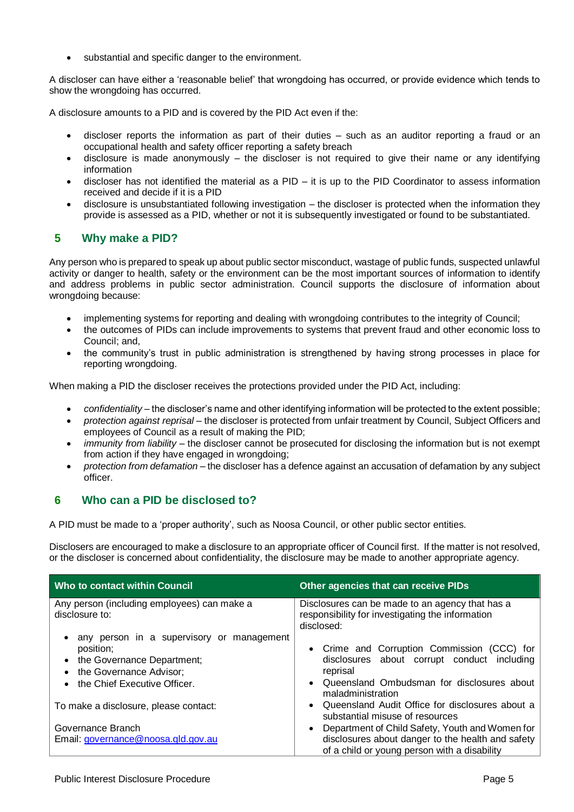substantial and specific danger to the environment.

A discloser can have either a 'reasonable belief' that wrongdoing has occurred, or provide evidence which tends to show the wrongdoing has occurred.

A disclosure amounts to a PID and is covered by the PID Act even if the:

- discloser reports the information as part of their duties such as an auditor reporting a fraud or an occupational health and safety officer reporting a safety breach
- disclosure is made anonymously the discloser is not required to give their name or any identifying information
- discloser has not identified the material as a PID it is up to the PID Coordinator to assess information received and decide if it is a PID
- disclosure is unsubstantiated following investigation the discloser is protected when the information they provide is assessed as a PID, whether or not it is subsequently investigated or found to be substantiated.

# <span id="page-4-0"></span>**5 Why make a PID?**

Any person who is prepared to speak up about public sector misconduct, wastage of public funds, suspected unlawful activity or danger to health, safety or the environment can be the most important sources of information to identify and address problems in public sector administration. Council supports the disclosure of information about wrongdoing because:

- implementing systems for reporting and dealing with wrongdoing contributes to the integrity of Council;
- the outcomes of PIDs can include improvements to systems that prevent fraud and other economic loss to Council; and,
- the community's trust in public administration is strengthened by having strong processes in place for reporting wrongdoing.

When making a PID the discloser receives the protections provided under the PID Act, including:

- *confidentiality* the discloser's name and other identifying information will be protected to the extent possible;
- *protection against reprisal* the discloser is protected from unfair treatment by Council, Subject Officers and employees of Council as a result of making the PID;
- *immunity from liability* the discloser cannot be prosecuted for disclosing the information but is not exempt from action if they have engaged in wrongdoing;
- *protection from defamation* the discloser has a defence against an accusation of defamation by any subject officer.

# <span id="page-4-1"></span>**6 Who can a PID be disclosed to?**

A PID must be made to a 'proper authority', such as Noosa Council, or other public sector entities.

Disclosers are encouraged to make a disclosure to an appropriate officer of Council first. If the matter is not resolved, or the discloser is concerned about confidentiality, the disclosure may be made to another appropriate agency.

| <b>Who to contact within Council</b>                                                                                                                                        | <b>Other agencies that can receive PIDs</b>                                                                                                            |
|-----------------------------------------------------------------------------------------------------------------------------------------------------------------------------|--------------------------------------------------------------------------------------------------------------------------------------------------------|
| Any person (including employees) can make a<br>disclosure to:                                                                                                               | Disclosures can be made to an agency that has a<br>responsibility for investigating the information<br>disclosed:                                      |
| any person in a supervisory or management<br>position;<br>• the Governance Department;<br>the Governance Advisor;<br>$\bullet$<br>the Chief Executive Officer.<br>$\bullet$ | • Crime and Corruption Commission (CCC) for<br>disclosures about corrupt conduct including<br>reprisal<br>• Queensland Ombudsman for disclosures about |
| To make a disclosure, please contact:                                                                                                                                       | maladministration<br>• Queensland Audit Office for disclosures about a<br>substantial misuse of resources                                              |
| Governance Branch<br>Email: governance@noosa.gld.gov.au                                                                                                                     | Department of Child Safety, Youth and Women for<br>disclosures about danger to the health and safety<br>of a child or young person with a disability   |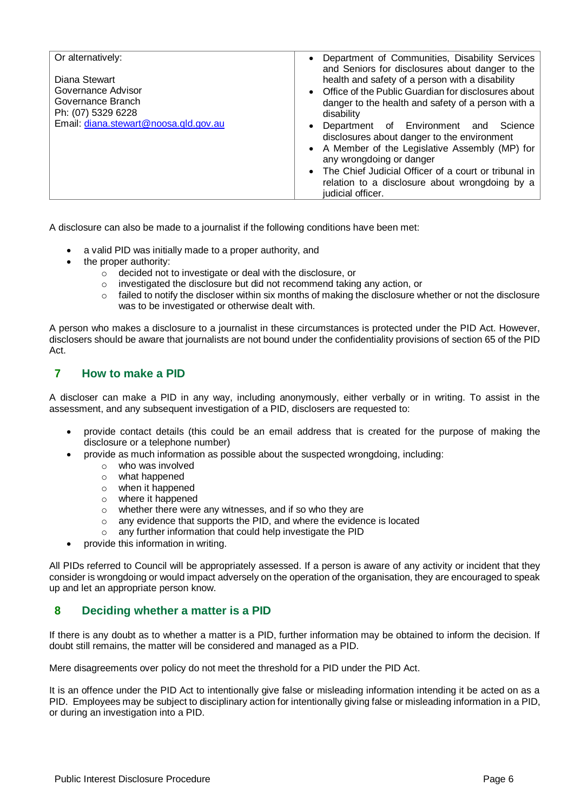| Or alternatively:                     | • Department of Communities, Disability Services      |
|---------------------------------------|-------------------------------------------------------|
|                                       | and Seniors for disclosures about danger to the       |
| Diana Stewart                         | health and safety of a person with a disability       |
|                                       |                                                       |
| Governance Advisor                    | • Office of the Public Guardian for disclosures about |
| Governance Branch                     | danger to the health and safety of a person with a    |
|                                       |                                                       |
| Ph: (07) 5329 6228                    | disability                                            |
| Email: diana.stewart@noosa.gld.gov.au | Department of Environment and<br>Science              |
|                                       | disclosures about danger to the environment           |
|                                       |                                                       |
|                                       | • A Member of the Legislative Assembly (MP) for       |
|                                       | any wrongdoing or danger                              |
|                                       | The Chief Judicial Officer of a court or tribunal in  |
|                                       |                                                       |
|                                       | relation to a disclosure about wrongdoing by a        |
|                                       | judicial officer.                                     |
|                                       |                                                       |

A disclosure can also be made to a journalist if the following conditions have been met:

- a valid PID was initially made to a proper authority, and
- the proper authority:
	- o decided not to investigate or deal with the disclosure, or
	- o investigated the disclosure but did not recommend taking any action, or
	- $\circ$  failed to notify the discloser within six months of making the disclosure whether or not the disclosure was to be investigated or otherwise dealt with.

A person who makes a disclosure to a journalist in these circumstances is protected under the PID Act. However, disclosers should be aware that journalists are not bound under the confidentiality provisions of section 65 of the PID Act.

# <span id="page-5-0"></span>**7 How to make a PID**

A discloser can make a PID in any way, including anonymously, either verbally or in writing. To assist in the assessment, and any subsequent investigation of a PID, disclosers are requested to:

- provide contact details (this could be an email address that is created for the purpose of making the disclosure or a telephone number)
- provide as much information as possible about the suspected wrongdoing, including:
	- o who was involved
		- o what happened
		- o when it happened
		- o where it happened
		- o whether there were any witnesses, and if so who they are
		- o any evidence that supports the PID, and where the evidence is located
		- o any further information that could help investigate the PID
- provide this information in writing.

All PIDs referred to Council will be appropriately assessed. If a person is aware of any activity or incident that they consider is wrongdoing or would impact adversely on the operation of the organisation, they are encouraged to speak up and let an appropriate person know.

#### <span id="page-5-1"></span>**8 Deciding whether a matter is a PID**

If there is any doubt as to whether a matter is a PID, further information may be obtained to inform the decision. If doubt still remains, the matter will be considered and managed as a PID.

Mere disagreements over policy do not meet the threshold for a PID under the PID Act.

It is an offence under the PID Act to intentionally give false or misleading information intending it be acted on as a PID. Employees may be subject to disciplinary action for intentionally giving false or misleading information in a PID, or during an investigation into a PID.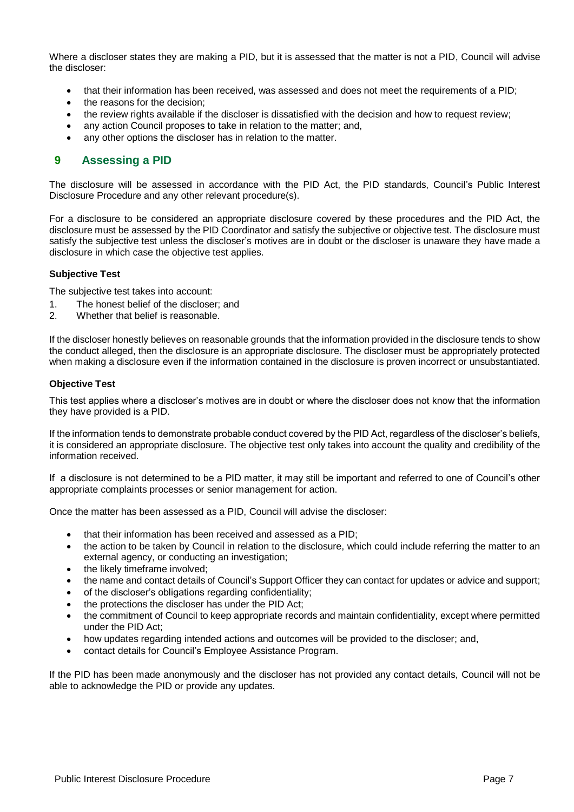Where a discloser states they are making a PID, but it is assessed that the matter is not a PID, Council will advise the discloser:

- that their information has been received, was assessed and does not meet the requirements of a PID;
- the reasons for the decision;
- the review rights available if the discloser is dissatisfied with the decision and how to request review;
- any action Council proposes to take in relation to the matter; and,
- any other options the discloser has in relation to the matter.

# <span id="page-6-0"></span>**9 Assessing a PID**

The disclosure will be assessed in accordance with the PID Act, the PID standards, Council's Public Interest Disclosure Procedure and any other relevant procedure(s).

For a disclosure to be considered an appropriate disclosure covered by these procedures and the PID Act, the disclosure must be assessed by the PID Coordinator and satisfy the subjective or objective test. The disclosure must satisfy the subjective test unless the discloser's motives are in doubt or the discloser is unaware they have made a disclosure in which case the objective test applies.

#### **Subjective Test**

The subjective test takes into account:

- 1. The honest belief of the discloser; and<br>2. Whether that belief is reasonable.
- Whether that belief is reasonable.

If the discloser honestly believes on reasonable grounds that the information provided in the disclosure tends to show the conduct alleged, then the disclosure is an appropriate disclosure. The discloser must be appropriately protected when making a disclosure even if the information contained in the disclosure is proven incorrect or unsubstantiated.

#### **Objective Test**

This test applies where a discloser's motives are in doubt or where the discloser does not know that the information they have provided is a PID.

If the information tends to demonstrate probable conduct covered by the PID Act, regardless of the discloser's beliefs, it is considered an appropriate disclosure. The objective test only takes into account the quality and credibility of the information received.

If a disclosure is not determined to be a PID matter, it may still be important and referred to one of Council's other appropriate complaints processes or senior management for action.

Once the matter has been assessed as a PID, Council will advise the discloser:

- that their information has been received and assessed as a PID;
- the action to be taken by Council in relation to the disclosure, which could include referring the matter to an external agency, or conducting an investigation;
- the likely timeframe involved;
- the name and contact details of Council's Support Officer they can contact for updates or advice and support;
- of the discloser's obligations regarding confidentiality;
- the protections the discloser has under the PID Act;
- the commitment of Council to keep appropriate records and maintain confidentiality, except where permitted under the PID Act;
- how updates regarding intended actions and outcomes will be provided to the discloser; and,
- contact details for Council's Employee Assistance Program.

If the PID has been made anonymously and the discloser has not provided any contact details, Council will not be able to acknowledge the PID or provide any updates.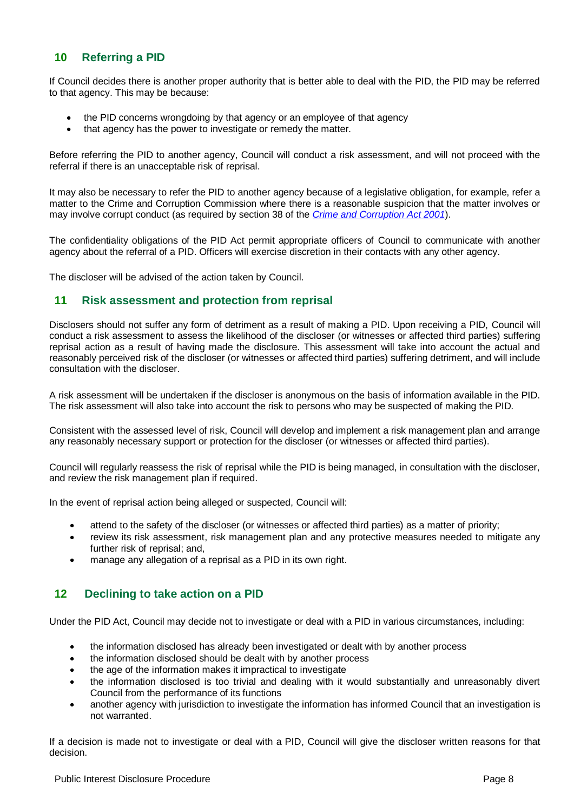# <span id="page-7-0"></span>**10 Referring a PID**

If Council decides there is another proper authority that is better able to deal with the PID, the PID may be referred to that agency. This may be because:

- the PID concerns wrongdoing by that agency or an employee of that agency
- that agency has the power to investigate or remedy the matter.

Before referring the PID to another agency, Council will conduct a risk assessment, and will not proceed with the referral if there is an unacceptable risk of reprisal.

It may also be necessary to refer the PID to another agency because of a legislative obligation, for example, refer a matter to the Crime and Corruption Commission where there is a reasonable suspicion that the matter involves or may involve corrupt conduct (as required by section 38 of the *[Crime and Corruption Act 2001](https://www.legislation.qld.gov.au/view/html/inforce/current/act-2001-069)*).

The confidentiality obligations of the PID Act permit appropriate officers of Council to communicate with another agency about the referral of a PID. Officers will exercise discretion in their contacts with any other agency.

The discloser will be advised of the action taken by Council.

#### <span id="page-7-1"></span>**11 Risk assessment and protection from reprisal**

Disclosers should not suffer any form of detriment as a result of making a PID. Upon receiving a PID, Council will conduct a risk assessment to assess the likelihood of the discloser (or witnesses or affected third parties) suffering reprisal action as a result of having made the disclosure. This assessment will take into account the actual and reasonably perceived risk of the discloser (or witnesses or affected third parties) suffering detriment, and will include consultation with the discloser.

A risk assessment will be undertaken if the discloser is anonymous on the basis of information available in the PID. The risk assessment will also take into account the risk to persons who may be suspected of making the PID.

Consistent with the assessed level of risk, Council will develop and implement a risk management plan and arrange any reasonably necessary support or protection for the discloser (or witnesses or affected third parties).

Council will regularly reassess the risk of reprisal while the PID is being managed, in consultation with the discloser, and review the risk management plan if required.

In the event of reprisal action being alleged or suspected, Council will:

- attend to the safety of the discloser (or witnesses or affected third parties) as a matter of priority;
- review its risk assessment, risk management plan and any protective measures needed to mitigate any further risk of reprisal; and,
- manage any allegation of a reprisal as a PID in its own right.

#### <span id="page-7-2"></span>**12 Declining to take action on a PID**

Under the PID Act, Council may decide not to investigate or deal with a PID in various circumstances, including:

- the information disclosed has already been investigated or dealt with by another process
- the information disclosed should be dealt with by another process
- the age of the information makes it impractical to investigate
- the information disclosed is too trivial and dealing with it would substantially and unreasonably divert Council from the performance of its functions
- another agency with jurisdiction to investigate the information has informed Council that an investigation is not warranted.

If a decision is made not to investigate or deal with a PID, Council will give the discloser written reasons for that decision.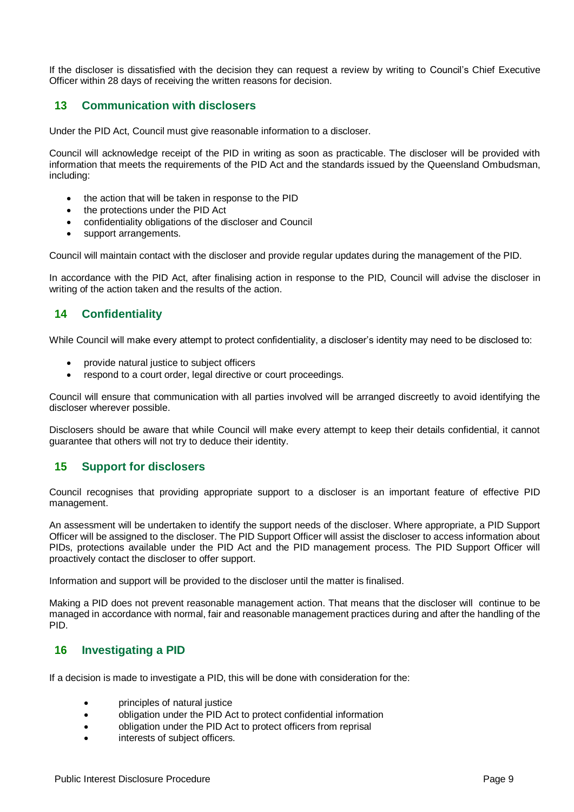If the discloser is dissatisfied with the decision they can request a review by writing to Council's Chief Executive Officer within 28 days of receiving the written reasons for decision.

## <span id="page-8-0"></span>**13 Communication with disclosers**

Under the PID Act, Council must give reasonable information to a discloser.

Council will acknowledge receipt of the PID in writing as soon as practicable. The discloser will be provided with information that meets the requirements of the PID Act and the standards issued by the Queensland Ombudsman, including:

- the action that will be taken in response to the PID
- the protections under the PID Act
- confidentiality obligations of the discloser and Council
- support arrangements.

Council will maintain contact with the discloser and provide regular updates during the management of the PID.

In accordance with the PID Act, after finalising action in response to the PID, Council will advise the discloser in writing of the action taken and the results of the action.

# <span id="page-8-1"></span>**14 Confidentiality**

While Council will make every attempt to protect confidentiality, a discloser's identity may need to be disclosed to:

- provide natural justice to subject officers
- respond to a court order, legal directive or court proceedings.

Council will ensure that communication with all parties involved will be arranged discreetly to avoid identifying the discloser wherever possible.

Disclosers should be aware that while Council will make every attempt to keep their details confidential, it cannot guarantee that others will not try to deduce their identity.

# <span id="page-8-2"></span>**15 Support for disclosers**

Council recognises that providing appropriate support to a discloser is an important feature of effective PID management.

An assessment will be undertaken to identify the support needs of the discloser. Where appropriate, a PID Support Officer will be assigned to the discloser. The PID Support Officer will assist the discloser to access information about PIDs, protections available under the PID Act and the PID management process. The PID Support Officer will proactively contact the discloser to offer support.

Information and support will be provided to the discloser until the matter is finalised.

Making a PID does not prevent reasonable management action. That means that the discloser will continue to be managed in accordance with normal, fair and reasonable management practices during and after the handling of the PID.

# <span id="page-8-3"></span>**16 Investigating a PID**

If a decision is made to investigate a PID, this will be done with consideration for the:

- principles of natural justice
- obligation under the PID Act to protect confidential information
- obligation under the PID Act to protect officers from reprisal
- interests of subject officers.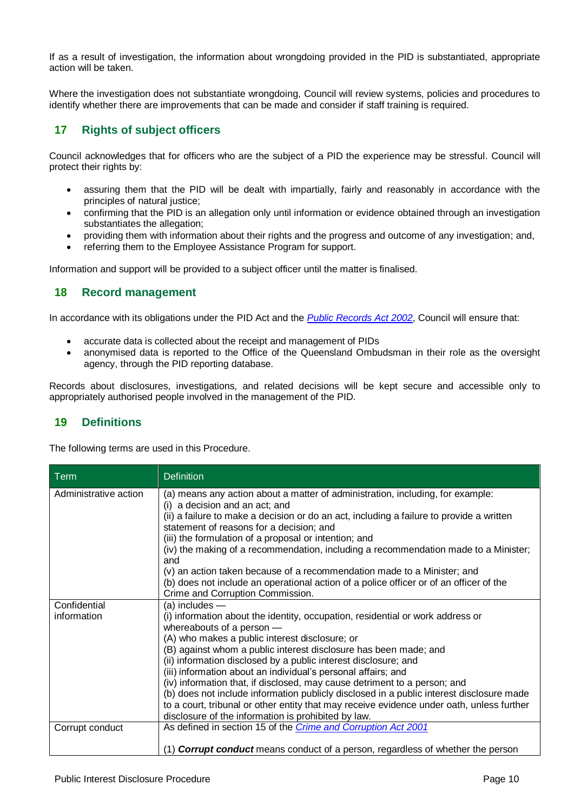If as a result of investigation, the information about wrongdoing provided in the PID is substantiated, appropriate action will be taken.

Where the investigation does not substantiate wrongdoing, Council will review systems, policies and procedures to identify whether there are improvements that can be made and consider if staff training is required.

# <span id="page-9-0"></span>**17 Rights of subject officers**

Council acknowledges that for officers who are the subject of a PID the experience may be stressful. Council will protect their rights by:

- assuring them that the PID will be dealt with impartially, fairly and reasonably in accordance with the principles of natural justice;
- confirming that the PID is an allegation only until information or evidence obtained through an investigation substantiates the allegation;
- providing them with information about their rights and the progress and outcome of any investigation; and,
- referring them to the Employee Assistance Program for support.

Information and support will be provided to a subject officer until the matter is finalised.

# <span id="page-9-1"></span>**18 Record management**

In accordance with its obligations under the PID Act and the *[Public Records Act 2002](https://www.legislation.qld.gov.au/view/html/inforce/current/act-2002-011)*, Council will ensure that:

- accurate data is collected about the receipt and management of PIDs
- anonymised data is reported to the Office of the Queensland Ombudsman in their role as the oversight agency, through the PID reporting database.

Records about disclosures, investigations, and related decisions will be kept secure and accessible only to appropriately authorised people involved in the management of the PID.

# <span id="page-9-2"></span>**19 Definitions**

The following terms are used in this Procedure.

| <b>Term</b>           | <b>Definition</b>                                                                                                                    |
|-----------------------|--------------------------------------------------------------------------------------------------------------------------------------|
| Administrative action | (a) means any action about a matter of administration, including, for example:<br>(i) a decision and an act; and                     |
|                       | (ii) a failure to make a decision or do an act, including a failure to provide a written<br>statement of reasons for a decision; and |
|                       | (iii) the formulation of a proposal or intention; and                                                                                |
|                       | (iv) the making of a recommendation, including a recommendation made to a Minister;<br>and                                           |
|                       | (v) an action taken because of a recommendation made to a Minister; and                                                              |
|                       | (b) does not include an operational action of a police officer or of an officer of the                                               |
|                       | Crime and Corruption Commission.                                                                                                     |
| Confidential          | $(a)$ includes $-$                                                                                                                   |
| information           | (i) information about the identity, occupation, residential or work address or                                                       |
|                       | whereabouts of a person -                                                                                                            |
|                       | (A) who makes a public interest disclosure; or                                                                                       |
|                       | (B) against whom a public interest disclosure has been made; and                                                                     |
|                       | (ii) information disclosed by a public interest disclosure; and                                                                      |
|                       | (iii) information about an individual's personal affairs; and                                                                        |
|                       | (iv) information that, if disclosed, may cause detriment to a person; and                                                            |
|                       | (b) does not include information publicly disclosed in a public interest disclosure made                                             |
|                       | to a court, tribunal or other entity that may receive evidence under oath, unless further                                            |
|                       | disclosure of the information is prohibited by law.                                                                                  |
| Corrupt conduct       | As defined in section 15 of the Crime and Corruption Act 2001                                                                        |
|                       |                                                                                                                                      |
|                       | (1) <b>Corrupt conduct</b> means conduct of a person, regardless of whether the person                                               |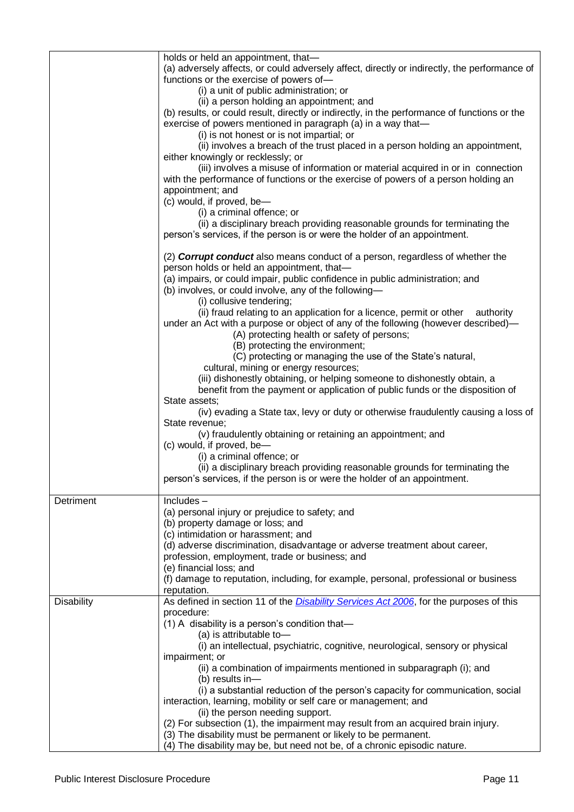|                   | holds or held an appointment, that-<br>(a) adversely affects, or could adversely affect, directly or indirectly, the performance of<br>functions or the exercise of powers of-<br>(i) a unit of public administration; or<br>(ii) a person holding an appointment; and<br>(b) results, or could result, directly or indirectly, in the performance of functions or the<br>exercise of powers mentioned in paragraph (a) in a way that-<br>(i) is not honest or is not impartial; or<br>(ii) involves a breach of the trust placed in a person holding an appointment,<br>either knowingly or recklessly; or<br>(iii) involves a misuse of information or material acquired in or in connection<br>with the performance of functions or the exercise of powers of a person holding an<br>appointment; and<br>(c) would, if proved, be-<br>(i) a criminal offence; or<br>(ii) a disciplinary breach providing reasonable grounds for terminating the<br>person's services, if the person is or were the holder of an appointment.<br>(2) <b>Corrupt conduct</b> also means conduct of a person, regardless of whether the<br>person holds or held an appointment, that-<br>(a) impairs, or could impair, public confidence in public administration; and<br>(b) involves, or could involve, any of the following-<br>(i) collusive tendering;<br>(ii) fraud relating to an application for a licence, permit or other authority<br>under an Act with a purpose or object of any of the following (however described)—<br>(A) protecting health or safety of persons;<br>(B) protecting the environment;<br>(C) protecting or managing the use of the State's natural,<br>cultural, mining or energy resources;<br>(iii) dishonestly obtaining, or helping someone to dishonestly obtain, a<br>benefit from the payment or application of public funds or the disposition of<br>State assets;<br>(iv) evading a State tax, levy or duty or otherwise fraudulently causing a loss of<br>State revenue;<br>(v) fraudulently obtaining or retaining an appointment; and<br>(c) would, if proved, be-<br>(i) a criminal offence; or<br>(ii) a disciplinary breach providing reasonable grounds for terminating the |
|-------------------|-------------------------------------------------------------------------------------------------------------------------------------------------------------------------------------------------------------------------------------------------------------------------------------------------------------------------------------------------------------------------------------------------------------------------------------------------------------------------------------------------------------------------------------------------------------------------------------------------------------------------------------------------------------------------------------------------------------------------------------------------------------------------------------------------------------------------------------------------------------------------------------------------------------------------------------------------------------------------------------------------------------------------------------------------------------------------------------------------------------------------------------------------------------------------------------------------------------------------------------------------------------------------------------------------------------------------------------------------------------------------------------------------------------------------------------------------------------------------------------------------------------------------------------------------------------------------------------------------------------------------------------------------------------------------------------------------------------------------------------------------------------------------------------------------------------------------------------------------------------------------------------------------------------------------------------------------------------------------------------------------------------------------------------------------------------------------------------------------------------------------------------------------------------------------------------------------------------|
|                   | person's services, if the person is or were the holder of an appointment.                                                                                                                                                                                                                                                                                                                                                                                                                                                                                                                                                                                                                                                                                                                                                                                                                                                                                                                                                                                                                                                                                                                                                                                                                                                                                                                                                                                                                                                                                                                                                                                                                                                                                                                                                                                                                                                                                                                                                                                                                                                                                                                                   |
| Detriment         | $Includes -$<br>(a) personal injury or prejudice to safety; and<br>(b) property damage or loss; and<br>(c) intimidation or harassment; and<br>(d) adverse discrimination, disadvantage or adverse treatment about career,<br>profession, employment, trade or business; and<br>(e) financial loss; and<br>(f) damage to reputation, including, for example, personal, professional or business<br>reputation.                                                                                                                                                                                                                                                                                                                                                                                                                                                                                                                                                                                                                                                                                                                                                                                                                                                                                                                                                                                                                                                                                                                                                                                                                                                                                                                                                                                                                                                                                                                                                                                                                                                                                                                                                                                               |
| <b>Disability</b> | As defined in section 11 of the <i>Disability Services Act 2006</i> , for the purposes of this<br>procedure:<br>(1) A disability is a person's condition that-<br>(a) is attributable to-<br>(i) an intellectual, psychiatric, cognitive, neurological, sensory or physical<br>impairment; or<br>(ii) a combination of impairments mentioned in subparagraph (i); and<br>(b) results in-<br>(i) a substantial reduction of the person's capacity for communication, social<br>interaction, learning, mobility or self care or management; and<br>(ii) the person needing support.<br>(2) For subsection (1), the impairment may result from an acquired brain injury.<br>(3) The disability must be permanent or likely to be permanent.<br>(4) The disability may be, but need not be, of a chronic episodic nature.                                                                                                                                                                                                                                                                                                                                                                                                                                                                                                                                                                                                                                                                                                                                                                                                                                                                                                                                                                                                                                                                                                                                                                                                                                                                                                                                                                                       |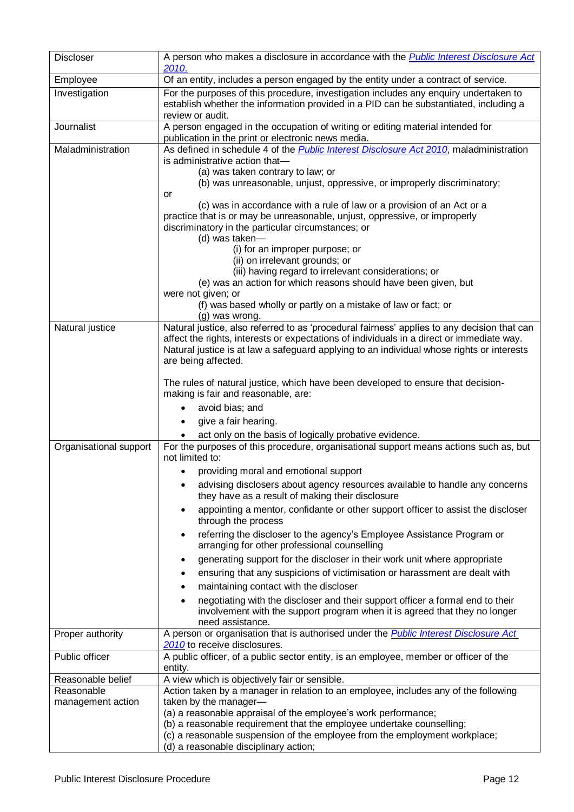| <b>Discloser</b>       | A person who makes a disclosure in accordance with the <b>Public Interest Disclosure Act</b><br>2010.                                                                                                                                                                                                                                                                                                                                                        |
|------------------------|--------------------------------------------------------------------------------------------------------------------------------------------------------------------------------------------------------------------------------------------------------------------------------------------------------------------------------------------------------------------------------------------------------------------------------------------------------------|
| Employee               | Of an entity, includes a person engaged by the entity under a contract of service.                                                                                                                                                                                                                                                                                                                                                                           |
| Investigation          | For the purposes of this procedure, investigation includes any enquiry undertaken to<br>establish whether the information provided in a PID can be substantiated, including a<br>review or audit.                                                                                                                                                                                                                                                            |
| Journalist             | A person engaged in the occupation of writing or editing material intended for<br>publication in the print or electronic news media.                                                                                                                                                                                                                                                                                                                         |
| Maladministration      | As defined in schedule 4 of the <i>Public Interest Disclosure Act 2010</i> , maladministration<br>is administrative action that-<br>(a) was taken contrary to law; or<br>(b) was unreasonable, unjust, oppressive, or improperly discriminatory;<br>or<br>(c) was in accordance with a rule of law or a provision of an Act or a                                                                                                                             |
|                        | practice that is or may be unreasonable, unjust, oppressive, or improperly<br>discriminatory in the particular circumstances; or<br>(d) was taken-<br>(i) for an improper purpose; or<br>(ii) on irrelevant grounds; or<br>(iii) having regard to irrelevant considerations; or<br>(e) was an action for which reasons should have been given, but<br>were not given; or<br>(f) was based wholly or partly on a mistake of law or fact; or<br>(g) was wrong. |
| Natural justice        | Natural justice, also referred to as 'procedural fairness' applies to any decision that can<br>affect the rights, interests or expectations of individuals in a direct or immediate way.<br>Natural justice is at law a safeguard applying to an individual whose rights or interests<br>are being affected.                                                                                                                                                 |
|                        | The rules of natural justice, which have been developed to ensure that decision-<br>making is fair and reasonable, are:                                                                                                                                                                                                                                                                                                                                      |
|                        | avoid bias; and                                                                                                                                                                                                                                                                                                                                                                                                                                              |
|                        | give a fair hearing.                                                                                                                                                                                                                                                                                                                                                                                                                                         |
| Organisational support | act only on the basis of logically probative evidence.<br>For the purposes of this procedure, organisational support means actions such as, but<br>not limited to:                                                                                                                                                                                                                                                                                           |
|                        | providing moral and emotional support                                                                                                                                                                                                                                                                                                                                                                                                                        |
|                        | advising disclosers about agency resources available to handle any concerns<br>٠<br>they have as a result of making their disclosure                                                                                                                                                                                                                                                                                                                         |
|                        | appointing a mentor, confidante or other support officer to assist the discloser<br>٠<br>through the process                                                                                                                                                                                                                                                                                                                                                 |
|                        | referring the discloser to the agency's Employee Assistance Program or<br>٠<br>arranging for other professional counselling                                                                                                                                                                                                                                                                                                                                  |
|                        | generating support for the discloser in their work unit where appropriate<br>٠                                                                                                                                                                                                                                                                                                                                                                               |
|                        | ensuring that any suspicions of victimisation or harassment are dealt with<br>٠                                                                                                                                                                                                                                                                                                                                                                              |
|                        | maintaining contact with the discloser<br>٠                                                                                                                                                                                                                                                                                                                                                                                                                  |
|                        | negotiating with the discloser and their support officer a formal end to their<br>٠<br>involvement with the support program when it is agreed that they no longer<br>need assistance.                                                                                                                                                                                                                                                                        |
| Proper authority       | A person or organisation that is authorised under the <b>Public Interest Disclosure Act</b><br>2010 to receive disclosures.                                                                                                                                                                                                                                                                                                                                  |
| Public officer         | A public officer, of a public sector entity, is an employee, member or officer of the<br>entity.                                                                                                                                                                                                                                                                                                                                                             |
| Reasonable belief      | A view which is objectively fair or sensible.                                                                                                                                                                                                                                                                                                                                                                                                                |
| Reasonable             | Action taken by a manager in relation to an employee, includes any of the following                                                                                                                                                                                                                                                                                                                                                                          |
| management action      | taken by the manager-<br>(a) a reasonable appraisal of the employee's work performance;                                                                                                                                                                                                                                                                                                                                                                      |
|                        | (b) a reasonable requirement that the employee undertake counselling;                                                                                                                                                                                                                                                                                                                                                                                        |
|                        | (c) a reasonable suspension of the employee from the employment workplace;                                                                                                                                                                                                                                                                                                                                                                                   |
|                        | (d) a reasonable disciplinary action;                                                                                                                                                                                                                                                                                                                                                                                                                        |